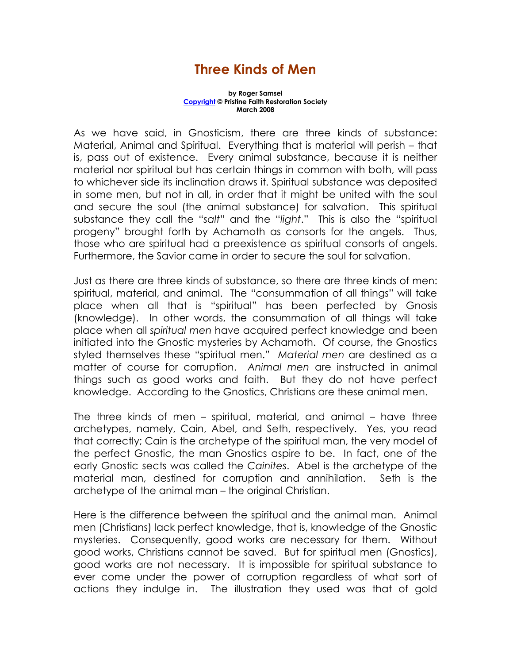## Three Kinds of Men

## by Roger Samsel Copyright © Pristine Faith Restoration Society March 2008

As we have said, in Gnosticism, there are three kinds of substance: Material, Animal and Spiritual. Everything that is material will perish – that is, pass out of existence. Every animal substance, because it is neither material nor spiritual but has certain things in common with both, will pass to whichever side its inclination draws it. Spiritual substance was deposited in some men, but not in all, in order that it might be united with the soul and secure the soul (the animal substance) for salvation. This spiritual substance they call the "salt" and the "light." This is also the "spiritual progeny" brought forth by Achamoth as consorts for the angels. Thus, those who are spiritual had a preexistence as spiritual consorts of angels. Furthermore, the Savior came in order to secure the soul for salvation.

Just as there are three kinds of substance, so there are three kinds of men: spiritual, material, and animal. The "consummation of all things" will take place when all that is "spiritual" has been perfected by Gnosis (knowledge). In other words, the consummation of all things will take place when all spiritual men have acquired perfect knowledge and been initiated into the Gnostic mysteries by Achamoth. Of course, the Gnostics styled themselves these "spiritual men." Material men are destined as a matter of course for corruption. Animal men are instructed in animal things such as good works and faith. But they do not have perfect knowledge. According to the Gnostics, Christians are these animal men.

The three kinds of men – spiritual, material, and animal – have three archetypes, namely, Cain, Abel, and Seth, respectively. Yes, you read that correctly; Cain is the archetype of the spiritual man, the very model of the perfect Gnostic, the man Gnostics aspire to be. In fact, one of the early Gnostic sects was called the Cainites. Abel is the archetype of the material man, destined for corruption and annihilation. Seth is the archetype of the animal man – the original Christian.

Here is the difference between the spiritual and the animal man. Animal men (Christians) lack perfect knowledge, that is, knowledge of the Gnostic mysteries. Consequently, good works are necessary for them. Without good works, Christians cannot be saved. But for spiritual men (Gnostics), good works are not necessary. It is impossible for spiritual substance to ever come under the power of corruption regardless of what sort of actions they indulge in. The illustration they used was that of gold